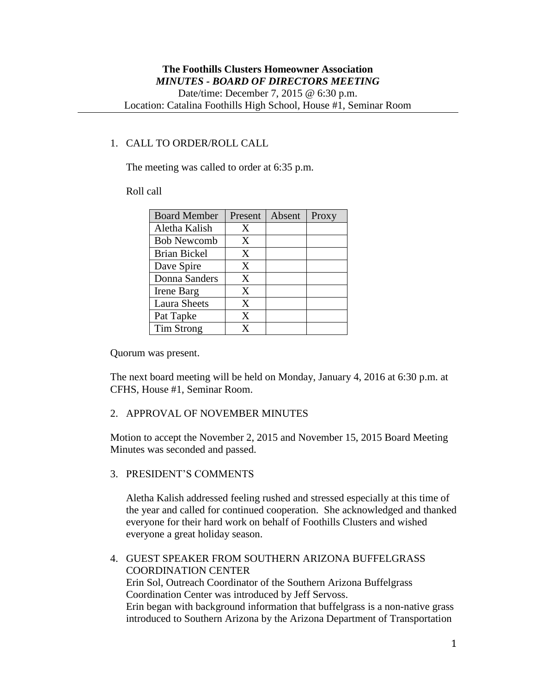# 1. CALL TO ORDER/ROLL CALL

The meeting was called to order at 6:35 p.m.

#### Roll call

| <b>Board Member</b> | Present | Absent | Proxy |
|---------------------|---------|--------|-------|
| Aletha Kalish       | X       |        |       |
| <b>Bob Newcomb</b>  | X       |        |       |
| <b>Brian Bickel</b> | X       |        |       |
| Dave Spire          | X       |        |       |
| Donna Sanders       | X       |        |       |
| Irene Barg          | X       |        |       |
| <b>Laura Sheets</b> | X       |        |       |
| Pat Tapke           | X       |        |       |
| Tim Strong          | x       |        |       |

Quorum was present.

The next board meeting will be held on Monday, January 4, 2016 at 6:30 p.m. at CFHS, House #1, Seminar Room.

# 2. APPROVAL OF NOVEMBER MINUTES

Motion to accept the November 2, 2015 and November 15, 2015 Board Meeting Minutes was seconded and passed.

### 3. PRESIDENT'S COMMENTS

Aletha Kalish addressed feeling rushed and stressed especially at this time of the year and called for continued cooperation. She acknowledged and thanked everyone for their hard work on behalf of Foothills Clusters and wished everyone a great holiday season.

4. GUEST SPEAKER FROM SOUTHERN ARIZONA BUFFELGRASS COORDINATION CENTER Erin Sol, Outreach Coordinator of the Southern Arizona Buffelgrass Coordination Center was introduced by Jeff Servoss. Erin began with background information that buffelgrass is a non-native grass introduced to Southern Arizona by the Arizona Department of Transportation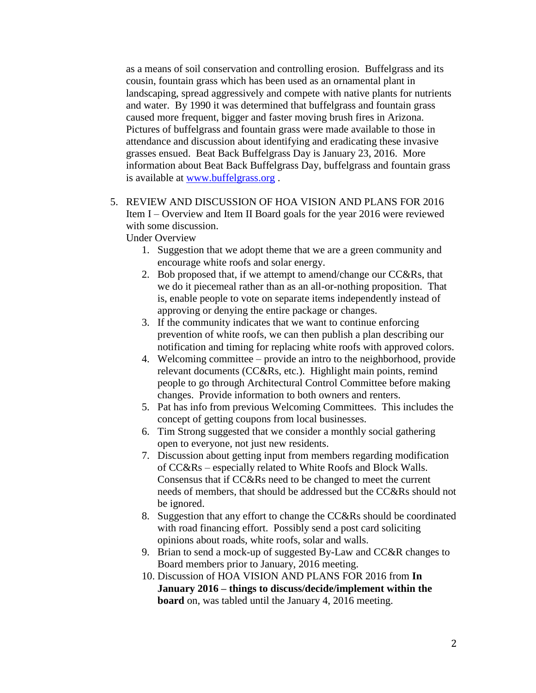as a means of soil conservation and controlling erosion. Buffelgrass and its cousin, fountain grass which has been used as an ornamental plant in landscaping, spread aggressively and compete with native plants for nutrients and water. By 1990 it was determined that buffelgrass and fountain grass caused more frequent, bigger and faster moving brush fires in Arizona. Pictures of buffelgrass and fountain grass were made available to those in attendance and discussion about identifying and eradicating these invasive grasses ensued. Beat Back Buffelgrass Day is January 23, 2016. More information about Beat Back Buffelgrass Day, buffelgrass and fountain grass is available at [www.buffelgrass.org](http://www.buffelgrass.org/) .

5. REVIEW AND DISCUSSION OF HOA VISION AND PLANS FOR 2016 Item I – Overview and Item II Board goals for the year 2016 were reviewed with some discussion.

Under Overview

- 1. Suggestion that we adopt theme that we are a green community and encourage white roofs and solar energy.
- 2. Bob proposed that, if we attempt to amend/change our CC&Rs, that we do it piecemeal rather than as an all-or-nothing proposition. That is, enable people to vote on separate items independently instead of approving or denying the entire package or changes.
- 3. If the community indicates that we want to continue enforcing prevention of white roofs, we can then publish a plan describing our notification and timing for replacing white roofs with approved colors.
- 4. Welcoming committee provide an intro to the neighborhood, provide relevant documents (CC&Rs, etc.). Highlight main points, remind people to go through Architectural Control Committee before making changes. Provide information to both owners and renters.
- 5. Pat has info from previous Welcoming Committees. This includes the concept of getting coupons from local businesses.
- 6. Tim Strong suggested that we consider a monthly social gathering open to everyone, not just new residents.
- 7. Discussion about getting input from members regarding modification of CC&Rs – especially related to White Roofs and Block Walls. Consensus that if CC&Rs need to be changed to meet the current needs of members, that should be addressed but the CC&Rs should not be ignored.
- 8. Suggestion that any effort to change the CC&Rs should be coordinated with road financing effort. Possibly send a post card soliciting opinions about roads, white roofs, solar and walls.
- 9. Brian to send a mock-up of suggested By-Law and CC&R changes to Board members prior to January, 2016 meeting.
- 10. Discussion of HOA VISION AND PLANS FOR 2016 from **In January 2016 – things to discuss/decide/implement within the board** on, was tabled until the January 4, 2016 meeting.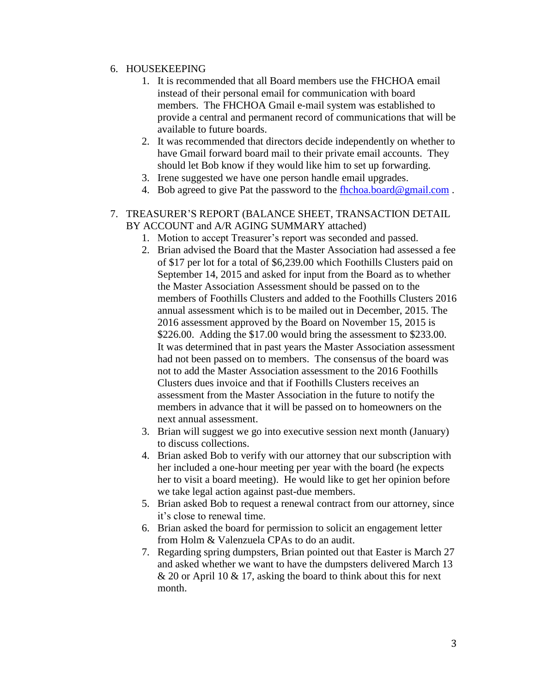## 6. HOUSEKEEPING

- 1. It is recommended that all Board members use the FHCHOA email instead of their personal email for communication with board members. The FHCHOA Gmail e-mail system was established to provide a central and permanent record of communications that will be available to future boards.
- 2. It was recommended that directors decide independently on whether to have Gmail forward board mail to their private email accounts. They should let Bob know if they would like him to set up forwarding.
- 3. Irene suggested we have one person handle email upgrades.
- 4. Bob agreed to give Pat the password to the [fhchoa.board@gmail.com](mailto:fhchoa.board@gmail.com) .

## 7. TREASURER'S REPORT (BALANCE SHEET, TRANSACTION DETAIL BY ACCOUNT and A/R AGING SUMMARY attached)

- 1. Motion to accept Treasurer's report was seconded and passed.
- 2. Brian advised the Board that the Master Association had assessed a fee of \$17 per lot for a total of \$6,239.00 which Foothills Clusters paid on September 14, 2015 and asked for input from the Board as to whether the Master Association Assessment should be passed on to the members of Foothills Clusters and added to the Foothills Clusters 2016 annual assessment which is to be mailed out in December, 2015. The 2016 assessment approved by the Board on November 15, 2015 is \$226.00. Adding the \$17.00 would bring the assessment to \$233.00. It was determined that in past years the Master Association assessment had not been passed on to members. The consensus of the board was not to add the Master Association assessment to the 2016 Foothills Clusters dues invoice and that if Foothills Clusters receives an assessment from the Master Association in the future to notify the members in advance that it will be passed on to homeowners on the next annual assessment.
- 3. Brian will suggest we go into executive session next month (January) to discuss collections.
- 4. Brian asked Bob to verify with our attorney that our subscription with her included a one-hour meeting per year with the board (he expects her to visit a board meeting). He would like to get her opinion before we take legal action against past-due members.
- 5. Brian asked Bob to request a renewal contract from our attorney, since it's close to renewal time.
- 6. Brian asked the board for permission to solicit an engagement letter from Holm & Valenzuela CPAs to do an audit.
- 7. Regarding spring dumpsters, Brian pointed out that Easter is March 27 and asked whether we want to have the dumpsters delivered March 13  $& 20$  or April 10  $& 17$ , asking the board to think about this for next month.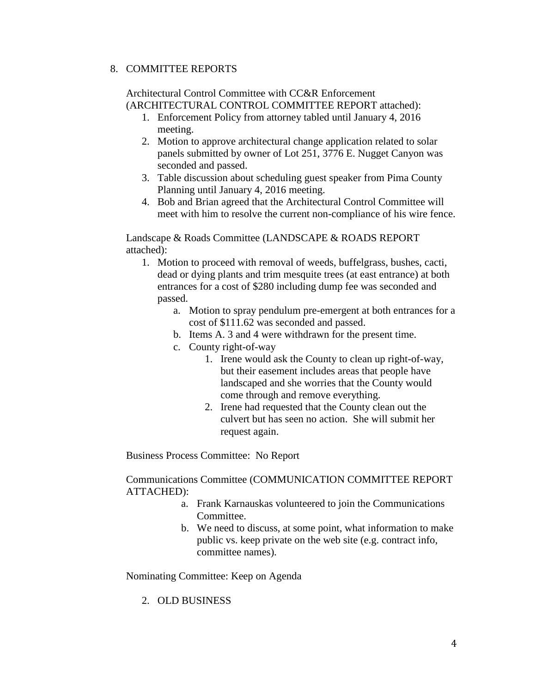### 8. COMMITTEE REPORTS

Architectural Control Committee with CC&R Enforcement (ARCHITECTURAL CONTROL COMMITTEE REPORT attached):

- 1. Enforcement Policy from attorney tabled until January 4, 2016 meeting.
- 2. Motion to approve architectural change application related to solar panels submitted by owner of Lot 251, 3776 E. Nugget Canyon was seconded and passed.
- 3. Table discussion about scheduling guest speaker from Pima County Planning until January 4, 2016 meeting.
- 4. Bob and Brian agreed that the Architectural Control Committee will meet with him to resolve the current non-compliance of his wire fence.

Landscape & Roads Committee (LANDSCAPE & ROADS REPORT attached):

- 1. Motion to proceed with removal of weeds, buffelgrass, bushes, cacti, dead or dying plants and trim mesquite trees (at east entrance) at both entrances for a cost of \$280 including dump fee was seconded and passed.
	- a. Motion to spray pendulum pre-emergent at both entrances for a cost of \$111.62 was seconded and passed.
	- b. Items A. 3 and 4 were withdrawn for the present time.
	- c. County right-of-way
		- 1. Irene would ask the County to clean up right-of-way, but their easement includes areas that people have landscaped and she worries that the County would come through and remove everything.
		- 2. Irene had requested that the County clean out the culvert but has seen no action. She will submit her request again.

Business Process Committee: No Report

Communications Committee (COMMUNICATION COMMITTEE REPORT ATTACHED):

- a. Frank Karnauskas volunteered to join the Communications Committee.
- b. We need to discuss, at some point, what information to make public vs. keep private on the web site (e.g. contract info, committee names).

Nominating Committee: Keep on Agenda

2. OLD BUSINESS